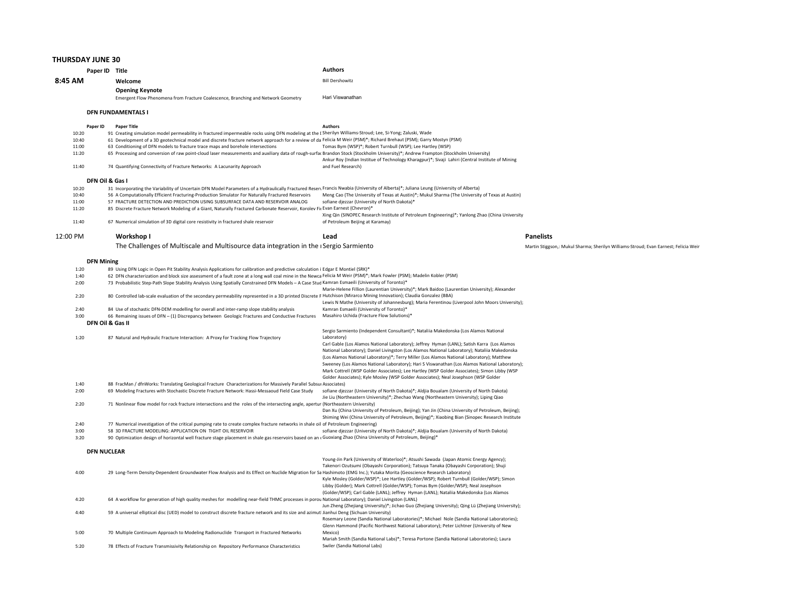## THURSDAY JUNE 30

|              | Paper ID Title     |                                                                                                                                                                                                                                                                                                              | <b>Authors</b>                                                                                                                                                                             |                                                                                      |
|--------------|--------------------|--------------------------------------------------------------------------------------------------------------------------------------------------------------------------------------------------------------------------------------------------------------------------------------------------------------|--------------------------------------------------------------------------------------------------------------------------------------------------------------------------------------------|--------------------------------------------------------------------------------------|
| 8:45 AM      |                    | Welcome                                                                                                                                                                                                                                                                                                      | <b>Bill Dershowitz</b>                                                                                                                                                                     |                                                                                      |
|              |                    | <b>Opening Keynote</b>                                                                                                                                                                                                                                                                                       |                                                                                                                                                                                            |                                                                                      |
|              |                    | Emergent Flow Phenomena from Fracture Coalescence, Branching and Network Geometry                                                                                                                                                                                                                            | Hari Viswanathan                                                                                                                                                                           |                                                                                      |
|              |                    | <b>DFN FUNDAMENTALS I</b>                                                                                                                                                                                                                                                                                    |                                                                                                                                                                                            |                                                                                      |
|              | Paper ID           | <b>Paper Title</b>                                                                                                                                                                                                                                                                                           | <b>Authors</b>                                                                                                                                                                             |                                                                                      |
| 10:20        |                    | 91 Creating simulation model permeability in fractured impermeable rocks using DFN modeling at the I Sherilyn Williams-Stroud; Lee, Si-Yong; Zaluski, Wade                                                                                                                                                   |                                                                                                                                                                                            |                                                                                      |
| 10:40        |                    | 61 Development of a 3D geotechnical model and discrete fracture network approach for a review of da Felicia M Weir (PSM)*; Richard Brehaut (PSM); Garry Mostyn (PSM)                                                                                                                                         |                                                                                                                                                                                            |                                                                                      |
| 11:00        |                    | 63 Conditioning of DFN models to fracture trace maps and borehole intersections                                                                                                                                                                                                                              | Tomas Bym (WSP)*; Robert Turnbull (WSP); Lee Hartley (WSP)                                                                                                                                 |                                                                                      |
| 11:20        |                    | 65 Processing and conversion of raw point-cloud laser measurements and auxiliary data of rough-surfar Brandon Stock (Stockholm University)*; Andrew Frampton (Stockholm University)                                                                                                                          |                                                                                                                                                                                            |                                                                                      |
| 11:40        |                    | 74 Quantifying Connectivity of Fracture Networks: A Lacunarity Approach                                                                                                                                                                                                                                      | Ankur Roy (Indian Institue of Technology Kharagpur)*; Sivaji Lahiri (Central Institute of Mining<br>and Fuel Research)                                                                     |                                                                                      |
|              |                    |                                                                                                                                                                                                                                                                                                              |                                                                                                                                                                                            |                                                                                      |
| 10:20        | DFN Oil & Gas I    | 31 Incorporating the Variability of Uncertain DFN Model Parameters of a Hydraulically Fractured Reserv Francis Nwabia (University of Alberta)*; Juliana Leung (University of Alberta)                                                                                                                        |                                                                                                                                                                                            |                                                                                      |
| 10:40        |                    | 56 A Computationally Efficient Fracturing-Production Simulator For Naturally Fractured Reservoirs                                                                                                                                                                                                            | Meng Cao (The University of Texas at Austin)*; Mukul Sharma (The University of Texas at Austin)                                                                                            |                                                                                      |
| 11:00        |                    | 57 FRACTURE DETECTION AND PREDICTION USING SUBSURFACE DATA AND RESERVOIR ANALOG                                                                                                                                                                                                                              | sofiane djezzar (University of North Dakota)*                                                                                                                                              |                                                                                      |
| 11:20        |                    | 85 Discrete Fracture Network Modeling of a Giant, Naturally Fractured Carbonate Reservoir, Korolev Fir Evan Earnest (Chevron)*                                                                                                                                                                               |                                                                                                                                                                                            |                                                                                      |
|              |                    |                                                                                                                                                                                                                                                                                                              | Xing Qin (SINOPEC Research Institute of Petroleum Engineering)*; Yanlong Zhao (China University                                                                                            |                                                                                      |
| 11:40        |                    | 67 Numerical simulation of 3D digital core resistivity in fractured shale reservoir                                                                                                                                                                                                                          | of Petroleum Beijing at Karamay)                                                                                                                                                           |                                                                                      |
| 12:00 PM     |                    | Workshop I                                                                                                                                                                                                                                                                                                   | Lead                                                                                                                                                                                       | <b>Panelists</b>                                                                     |
|              |                    | The Challenges of Multiscale and Multisource data integration in the Sergio Sarmiento                                                                                                                                                                                                                        |                                                                                                                                                                                            | Martin Stiggson,: Mukul Sharma; Sherilyn Williams-Stroud; Evan Earnest; Felicia Weir |
|              |                    |                                                                                                                                                                                                                                                                                                              |                                                                                                                                                                                            |                                                                                      |
| 1:20         | <b>DFN Mining</b>  |                                                                                                                                                                                                                                                                                                              |                                                                                                                                                                                            |                                                                                      |
| 1:40         |                    | 89 Using DFN Logic in Open Pit Stability Analysis Applications for calibration and predictive calculation i Edgar E Montiel (SRK)*<br>62 DFN characterization and block size assessment of a fault zone at a long wall coal mine in the Newca Felicia M Weir (PSM)*; Mark Fowler (PSM); Madelin Kobler (PSM) |                                                                                                                                                                                            |                                                                                      |
| 2:00         |                    | 73 Probabilistic Step-Path Slope Stability Analysis Using Spatially Constrained DFN Models - A Case Stuc Kamran Esmaeili (University of Toronto)*                                                                                                                                                            |                                                                                                                                                                                            |                                                                                      |
|              |                    |                                                                                                                                                                                                                                                                                                              | Marie-Helene Fillion (Laurentian University)*; Mark Baidoo (Laurentian University); Alexander                                                                                              |                                                                                      |
| 2:20         |                    | 80 Controlled lab-scale evaluation of the secondary permeability represented in a 3D printed Discrete F Hutchison (Mirarco Mining Innovation); Claudia Gonzalez (BBA)                                                                                                                                        |                                                                                                                                                                                            |                                                                                      |
| 2:40         |                    | 84 Use of stochastic DFN-DEM modelling for overall and inter-ramp slope stability analysis                                                                                                                                                                                                                   | Lewis N Mathe (University of Johannesburg); Maria Ferentinou (Liverpool John Moors University);<br>Kamran Esmaeili (University of Toronto)*                                                |                                                                                      |
| 3:00         |                    | 66 Remaining issues of DFN - (1) Discrepancy between Geologic Fractures and Conductive Fractures                                                                                                                                                                                                             | Masahiro Uchida (Fracture Flow Solutions)*                                                                                                                                                 |                                                                                      |
|              | DFN Oil & Gas II   |                                                                                                                                                                                                                                                                                                              |                                                                                                                                                                                            |                                                                                      |
|              |                    |                                                                                                                                                                                                                                                                                                              | Sergio Sarmiento (Independent Consultant)*; Nataliia Makedonska (Los Alamos National                                                                                                       |                                                                                      |
| 1:20         |                    | 87 Natural and Hydraulic Fracture Interaction: A Proxy for Tracking Flow Trajectory                                                                                                                                                                                                                          | Laboratory)                                                                                                                                                                                |                                                                                      |
|              |                    |                                                                                                                                                                                                                                                                                                              | Carl Gable (Los Alamos National Laboratory); Jeffrey Hyman (LANL); Satish Karra (Los Alamos                                                                                                |                                                                                      |
|              |                    |                                                                                                                                                                                                                                                                                                              | National Laboratory); Daniel Livingston (Los Alamos National Laboratory); Nataliia Makedonska<br>(Los Alamos National Laboratory)*; Terry Miller (Los Alamos National Laboratory); Matthew |                                                                                      |
|              |                    |                                                                                                                                                                                                                                                                                                              | Sweeney (Los Alamos National Laboratory); Hari S Viswanathan (Los Alamos National Laboratory);                                                                                             |                                                                                      |
|              |                    |                                                                                                                                                                                                                                                                                                              | Mark Cottrell (WSP Golder Associates); Lee Hartley (WSP Golder Associates); Simon Libby (WSP                                                                                               |                                                                                      |
|              |                    |                                                                                                                                                                                                                                                                                                              | Golder Associates); Kyle Mosley (WSP Golder Associates); Neal Josephson (WSP Golder                                                                                                        |                                                                                      |
| 1:40<br>2:00 |                    | 88 FracMan / dfnWorks: Translating Geological Fracture Characterizations for Massively Parallel Subsur Associates)<br>69 Modeling Fractures with Stochastic Discrete Fracture Network: Hassi-Messaoud Field Case Study                                                                                       | sofiane djezzar (University of North Dakota)*; Aldjia Boualam (University of North Dakota)                                                                                                 |                                                                                      |
|              |                    |                                                                                                                                                                                                                                                                                                              | Jie Liu (Northeastern University)*; Zhechao Wang (Northeastern University); Liping Qiao                                                                                                    |                                                                                      |
| 2:20         |                    | 71 Nonlinear flow model for rock fracture intersections and the roles of the intersecting angle, apertur (Northeastern University)                                                                                                                                                                           |                                                                                                                                                                                            |                                                                                      |
|              |                    |                                                                                                                                                                                                                                                                                                              | Dan Xu (China University of Petroleum, Beijing); Yan Jin (China University of Petroleum, Beijing);                                                                                         |                                                                                      |
| 2:40         |                    | 77 Numerical investigation of the critical pumping rate to create complex fracture networks in shale oil of Petroleum Engineering)                                                                                                                                                                           | Shiming Wei (China University of Petroleum, Beijing)*; Xiaobing Bian (Sinopec Research Institute                                                                                           |                                                                                      |
| 3:00         |                    | 58 3D FRACTURE MODELING: APPLICATION ON TIGHT OIL RESERVOIR                                                                                                                                                                                                                                                  | sofiane djezzar (University of North Dakota)*; Aldjia Boualam (University of North Dakota)                                                                                                 |                                                                                      |
| 3:20         |                    | 90 Optimization design of horizontal well fracture stage placement in shale gas reservoirs based on an + Guoxiang Zhao (China University of Petroleum, Beijing)*                                                                                                                                             |                                                                                                                                                                                            |                                                                                      |
|              | <b>DFN NUCLEAR</b> |                                                                                                                                                                                                                                                                                                              |                                                                                                                                                                                            |                                                                                      |
|              |                    |                                                                                                                                                                                                                                                                                                              | Young-Jin Park (University of Waterloo)*; Atsushi Sawada (Japan Atomic Energy Agency);                                                                                                     |                                                                                      |
|              |                    |                                                                                                                                                                                                                                                                                                              | Takenori Ozutsumi (Obayashi Corporation); Tatsuya Tanaka (Obayashi Corporation); Shuji                                                                                                     |                                                                                      |
| 4:00         |                    | 29 Long-Term Density-Dependent Groundwater Flow Analysis and its Effect on Nuclide Migration for Sa Hashimoto (EMG Inc.); Yutaka Morita (Geoscience Research Laboratory)                                                                                                                                     |                                                                                                                                                                                            |                                                                                      |
|              |                    |                                                                                                                                                                                                                                                                                                              | Kyle Mosley (Golder/WSP)*; Lee Hartley (Golder/WSP); Robert Turnbull (Golder/WSP); Simon<br>Libby (Golder); Mark Cottrell (Golder/WSP); Tomas Bym (Golder/WSP); Neal Josephson             |                                                                                      |
|              |                    |                                                                                                                                                                                                                                                                                                              | (Golder/WSP); Carl Gable (LANL); Jeffrey Hyman (LANL); Nataliia Makedonska (Los Alamos                                                                                                     |                                                                                      |
| 4:20         |                    | 64 A workflow for generation of high quality meshes for modelling near-field THMC processes in poro∟ National Laboratory); Daniel Livingston (LANL)                                                                                                                                                          |                                                                                                                                                                                            |                                                                                      |
|              |                    |                                                                                                                                                                                                                                                                                                              | Jun Zheng (Zhejiang University)*; Jichao Guo (Zhejiang University); Qing Lü (Zhejiang University);                                                                                         |                                                                                      |
| 4:40         |                    | 59 A universal elliptical disc (UED) model to construct discrete fracture network and its size and azimut Jianhui Deng (Sichuan University)                                                                                                                                                                  | Rosemary Leone (Sandia National Laboratories)*; Michael Nole (Sandia National Laboratories);                                                                                               |                                                                                      |
|              |                    |                                                                                                                                                                                                                                                                                                              | Glenn Hammond (Pacific Northwest National Laboratory); Peter Lichtner (University of New                                                                                                   |                                                                                      |
| 5:00         |                    | 70 Multiple Continuum Approach to Modeling Radionuclide Transport in Fractured Networks                                                                                                                                                                                                                      | Mexicol                                                                                                                                                                                    |                                                                                      |
|              |                    |                                                                                                                                                                                                                                                                                                              | Mariah Smith (Sandia National Labs)*; Teresa Portone (Sandia National Laboratories); Laura                                                                                                 |                                                                                      |
| 5:20         |                    | 78 Effects of Fracture Transmissivity Relationship on Repository Performance Characteristics                                                                                                                                                                                                                 | Swiler (Sandia National Labs)                                                                                                                                                              |                                                                                      |